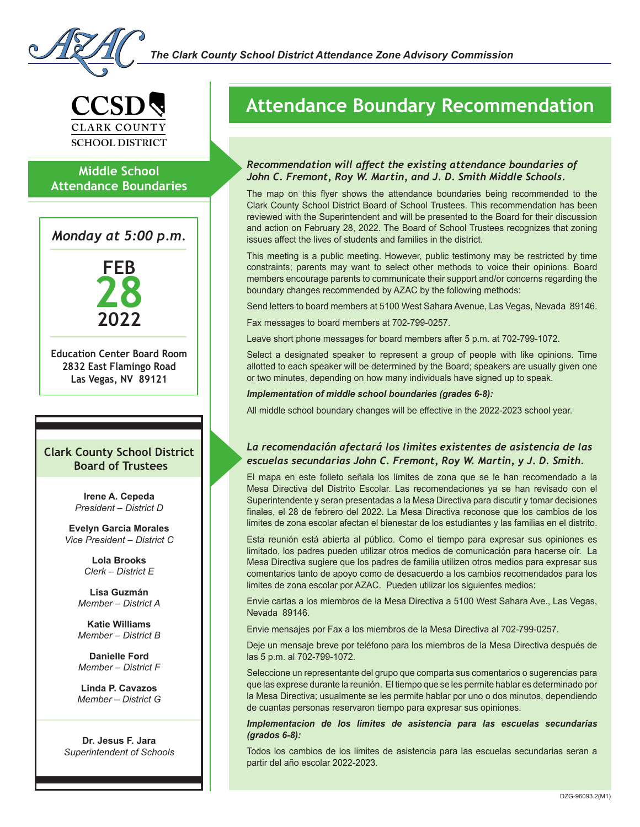

### **Middle School Attendance Boundaries**

*Monday at 5:00 p.m.*



**Education Center Board Room 2832 East Flamingo Road Las Vegas, NV 89121**

#### **Clark County School District Board of Trustees**

**Irene A. Cepeda** *President – District D*

**Evelyn Garcia Morales** *Vice President – District C*

> **Lola Brooks** *Clerk – District E*

**Lisa Guzmán** *Member – District A*

**Katie Williams** *Member – District B*

**Danielle Ford** *Member – District F*

**Linda P. Cavazos** *Member – District G*

**Dr. Jesus F. Jara** *Superintendent of Schools*

## **Attendance Boundary Recommendation**

#### *Recommendation will affect the existing attendance boundaries of John C. Fremont, Roy W. Martin, and J. D. Smith Middle Schools.*

The map on this flyer shows the attendance boundaries being recommended to the Clark County School District Board of School Trustees. This recommendation has been reviewed with the Superintendent and will be presented to the Board for their discussion and action on February 28, 2022. The Board of School Trustees recognizes that zoning issues affect the lives of students and families in the district.

This meeting is a public meeting. However, public testimony may be restricted by time constraints; parents may want to select other methods to voice their opinions. Board members encourage parents to communicate their support and/or concerns regarding the boundary changes recommended by AZAC by the following methods:

Send letters to board members at 5100 West Sahara Avenue, Las Vegas, Nevada 89146.

Fax messages to board members at 702-799-0257.

Leave short phone messages for board members after 5 p.m. at 702-799-1072.

Select a designated speaker to represent a group of people with like opinions. Time allotted to each speaker will be determined by the Board; speakers are usually given one or two minutes, depending on how many individuals have signed up to speak.

*Implementation of middle school boundaries (grades 6-8):*

All middle school boundary changes will be effective in the 2022-2023 school year.

#### *La recomendación afectará los limites existentes de asistencia de las escuelas secundarias John C. Fremont, Roy W. Martin, y J. D. Smith.*

El mapa en este folleto señala los límites de zona que se le han recomendado a la Mesa Directiva del Distrito Escolar. Las recomendaciones ya se han revisado con el Superintendente y seran presentadas a la Mesa Directiva para discutir y tomar decisiones finales, el 28 de febrero del 2022. La Mesa Directiva reconose que los cambios de los limites de zona escolar afectan el bienestar de los estudiantes y las familias en el distrito.

Esta reunión está abierta al público. Como el tiempo para expresar sus opiniones es limitado, los padres pueden utilizar otros medios de comunicación para hacerse oír. La Mesa Directiva sugiere que los padres de familia utilizen otros medios para expresar sus comentarios tanto de apoyo como de desacuerdo a los cambios recomendados para los limites de zona escolar por AZAC. Pueden utilizar los siguientes medios:

Envie cartas a los miembros de la Mesa Directiva a 5100 West Sahara Ave., Las Vegas, Nevada 89146.

Envie mensajes por Fax a los miembros de la Mesa Directiva al 702-799-0257.

Deje un mensaje breve por teléfono para los miembros de la Mesa Directiva después de las 5 p.m. al 702-799-1072.

Seleccione un representante del grupo que comparta sus comentarios o sugerencias para que las exprese durante la reunión. El tiempo que se les permite hablar es determinado por la Mesa Directiva; usualmente se les permite hablar por uno o dos minutos, dependiendo de cuantas personas reservaron tiempo para expresar sus opiniones.

*Implementacion de los limites de asistencia para las escuelas secundarias (grados 6-8):*

Todos los cambios de los limites de asistencia para las escuelas secundarias seran a partir del año escolar 2022-2023.